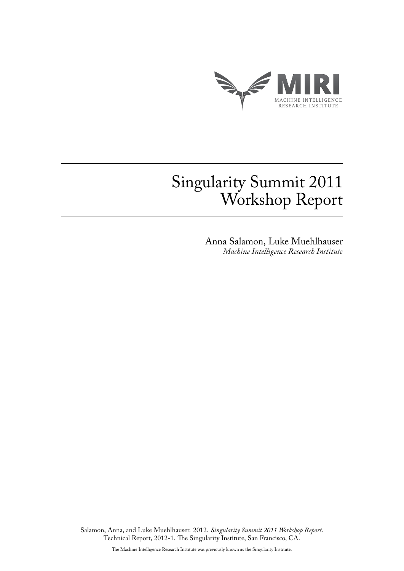

# Singularity Summit 2011 Workshop Report

Anna Salamon, Luke Muehlhauser *Machine Intelligence Research Institute*

Salamon, Anna, and Luke Muehlhauser. 2012. *Singularity Summit 2011 Workshop Report*. Technical Report, 2012-1. The Singularity Institute, San Francisco, CA.

The Machine Intelligence Research Institute was previously known as the Singularity Institute.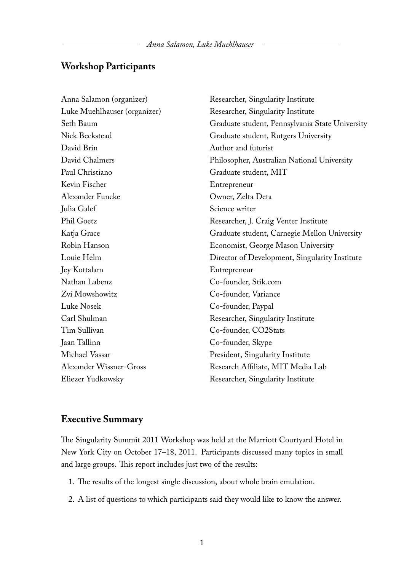# **Workshop Participants**

| Anna Salamon (organizer)       | Researcher, Singularity Institute               |
|--------------------------------|-------------------------------------------------|
| Luke Muehlhauser (organizer)   | Researcher, Singularity Institute               |
| Seth Baum                      | Graduate student, Pennsylvania State University |
| Nick Beckstead                 | Graduate student, Rutgers University            |
| David Brin                     | Author and futurist                             |
| David Chalmers                 | Philosopher, Australian National University     |
| Paul Christiano                | Graduate student, MIT                           |
| Kevin Fischer                  | Entrepreneur                                    |
| Alexander Funcke               | Owner, Zelta Deta                               |
| Julia Galef                    | Science writer                                  |
| Phil Goetz                     | Researcher, J. Craig Venter Institute           |
| Katja Grace                    | Graduate student, Carnegie Mellon University    |
| Robin Hanson                   | Economist, George Mason University              |
| Louie Helm                     | Director of Development, Singularity Institute  |
| Jey Kottalam                   | Entrepreneur                                    |
| Nathan Labenz                  | Co-founder, Stik.com                            |
| Zvi Mowshowitz                 | Co-founder, Variance                            |
| Luke Nosek                     | Co-founder, Paypal                              |
| Carl Shulman                   | Researcher, Singularity Institute               |
| Tim Sullivan                   | Co-founder, CO2Stats                            |
| Jaan Tallinn                   | Co-founder, Skype                               |
| Michael Vassar                 | President, Singularity Institute                |
| <b>Alexander Wissner-Gross</b> | Research Affiliate, MIT Media Lab               |
| Eliezer Yudkowsky              | Researcher, Singularity Institute               |

### **Executive Summary**

The Singularity Summit 2011 Workshop was held at the Marriott Courtyard Hotel in New York City on October 17–18, 2011. Participants discussed many topics in small and large groups. This report includes just two of the results:

- 1. The results of the longest single discussion, about whole brain emulation.
- 2. A list of questions to which participants said they would like to know the answer.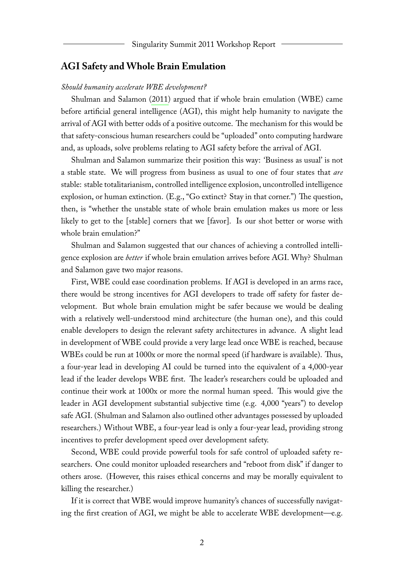#### **AGI Safety and Whole Brain Emulation**

#### *Should humanity accelerate WBE development?*

Shulman and Salamon [\(2011\)](#page-7-0) argued that if whole brain emulation (WBE) came before artificial general intelligence (AGI), this might help humanity to navigate the arrival of AGI with better odds of a positive outcome. The mechanism for this would be that safety-conscious human researchers could be "uploaded" onto computing hardware and, as uploads, solve problems relating to AGI safety before the arrival of AGI.

Shulman and Salamon summarize their position this way: 'Business as usual' is not a stable state. We will progress from business as usual to one of four states that *are* stable: stable totalitarianism, controlled intelligence explosion, uncontrolled intelligence explosion, or human extinction. (E.g., "Go extinct? Stay in that corner.") The question, then, is "whether the unstable state of whole brain emulation makes us more or less likely to get to the [stable] corners that we [favor]. Is our shot better or worse with whole brain emulation?"

Shulman and Salamon suggested that our chances of achieving a controlled intelligence explosion are *better* if whole brain emulation arrives before AGI. Why? Shulman and Salamon gave two major reasons.

First, WBE could ease coordination problems. If AGI is developed in an arms race, there would be strong incentives for AGI developers to trade off safety for faster development. But whole brain emulation might be safer because we would be dealing with a relatively well-understood mind architecture (the human one), and this could enable developers to design the relevant safety architectures in advance. A slight lead in development of WBE could provide a very large lead once WBE is reached, because WBEs could be run at 1000x or more the normal speed (if hardware is available). Thus, a four-year lead in developing AI could be turned into the equivalent of a 4,000-year lead if the leader develops WBE first. The leader's researchers could be uploaded and continue their work at 1000x or more the normal human speed. This would give the leader in AGI development substantial subjective time (e.g. 4,000 "years") to develop safe AGI. (Shulman and Salamon also outlined other advantages possessed by uploaded researchers.) Without WBE, a four-year lead is only a four-year lead, providing strong incentives to prefer development speed over development safety.

Second, WBE could provide powerful tools for safe control of uploaded safety researchers. One could monitor uploaded researchers and "reboot from disk" if danger to others arose. (However, this raises ethical concerns and may be morally equivalent to killing the researcher.)

If it is correct that WBE would improve humanity's chances of successfully navigating the first creation of AGI, we might be able to accelerate WBE development—e.g.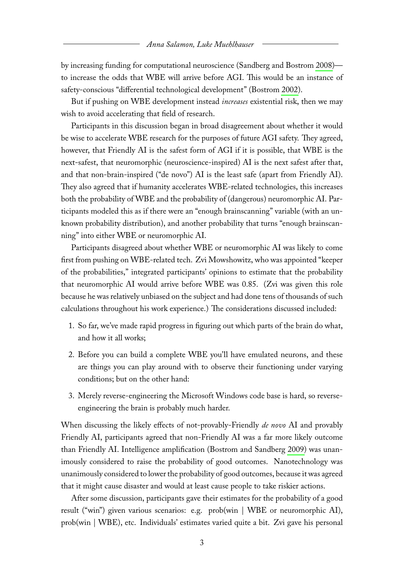by increasing funding for computational neuroscience (Sandberg and Bostrom [2008\)](#page-7-1) to increase the odds that WBE will arrive before AGI. This would be an instance of safety-conscious "differential technological development" (Bostrom [2002\)](#page-7-2).

But if pushing on WBE development instead *increases* existential risk, then we may wish to avoid accelerating that field of research.

Participants in this discussion began in broad disagreement about whether it would be wise to accelerate WBE research for the purposes of future AGI safety. They agreed, however, that Friendly AI is the safest form of AGI if it is possible, that WBE is the next-safest, that neuromorphic (neuroscience-inspired) AI is the next safest after that, and that non-brain-inspired ("de novo") AI is the least safe (apart from Friendly AI). They also agreed that if humanity accelerates WBE-related technologies, this increases both the probability of WBE and the probability of (dangerous) neuromorphic AI. Participants modeled this as if there were an "enough brainscanning" variable (with an unknown probability distribution), and another probability that turns "enough brainscanning" into either WBE or neuromorphic AI.

Participants disagreed about whether WBE or neuromorphic AI was likely to come first from pushing on WBE-related tech. Zvi Mowshowitz, who was appointed "keeper of the probabilities," integrated participants' opinions to estimate that the probability that neuromorphic AI would arrive before WBE was 0.85. (Zvi was given this role because he was relatively unbiased on the subject and had done tens of thousands of such calculations throughout his work experience.) The considerations discussed included:

- 1. So far, we've made rapid progress in figuring out which parts of the brain do what, and how it all works;
- 2. Before you can build a complete WBE you'll have emulated neurons, and these are things you can play around with to observe their functioning under varying conditions; but on the other hand:
- 3. Merely reverse-engineering the Microsoft Windows code base is hard, so reverseengineering the brain is probably much harder.

When discussing the likely effects of not-provably-Friendly *de novo* AI and provably Friendly AI, participants agreed that non-Friendly AI was a far more likely outcome than Friendly AI. Intelligence amplification (Bostrom and Sandberg [2009\)](#page-7-3) was unanimously considered to raise the probability of good outcomes. Nanotechnology was unanimously considered to lower the probability of good outcomes, because it was agreed that it might cause disaster and would at least cause people to take riskier actions.

After some discussion, participants gave their estimates for the probability of a good result ("win") given various scenarios: e.g. prob(win | WBE or neuromorphic AI), prob(win | WBE), etc. Individuals' estimates varied quite a bit. Zvi gave his personal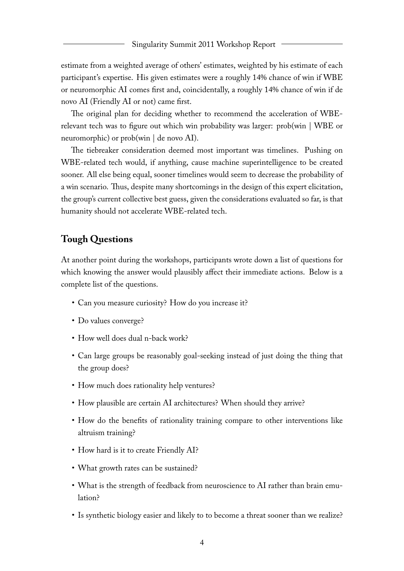estimate from a weighted average of others' estimates, weighted by his estimate of each participant's expertise. His given estimates were a roughly 14% chance of win if WBE or neuromorphic AI comes first and, coincidentally, a roughly 14% chance of win if de novo AI (Friendly AI or not) came first.

The original plan for deciding whether to recommend the acceleration of WBErelevant tech was to figure out which win probability was larger: prob(win | WBE or neuromorphic) or  $prob(win | de novo AI)$ .

The tiebreaker consideration deemed most important was timelines. Pushing on WBE-related tech would, if anything, cause machine superintelligence to be created sooner. All else being equal, sooner timelines would seem to decrease the probability of a win scenario. Thus, despite many shortcomings in the design of this expert elicitation, the group's current collective best guess, given the considerations evaluated so far, is that humanity should not accelerate WBE-related tech.

## **Tough Questions**

At another point during the workshops, participants wrote down a list of questions for which knowing the answer would plausibly affect their immediate actions. Below is a complete list of the questions.

- Can you measure curiosity? How do you increase it?
- Do values converge?
- How well does dual n-back work?
- Can large groups be reasonably goal-seeking instead of just doing the thing that the group does?
- How much does rationality help ventures?
- How plausible are certain AI architectures? When should they arrive?
- How do the benefits of rationality training compare to other interventions like altruism training?
- How hard is it to create Friendly AI?
- What growth rates can be sustained?
- What is the strength of feedback from neuroscience to AI rather than brain emulation?
- Is synthetic biology easier and likely to to become a threat sooner than we realize?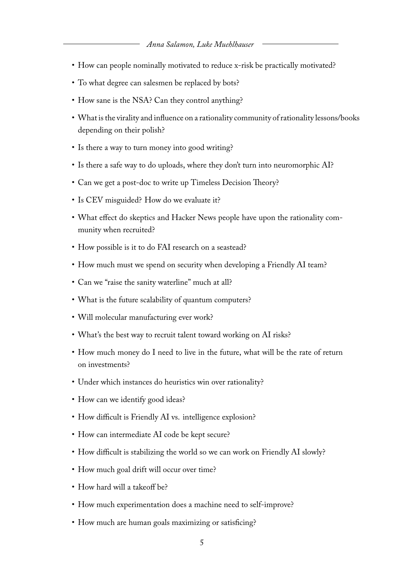- How can people nominally motivated to reduce x-risk be practically motivated?
- To what degree can salesmen be replaced by bots?
- How sane is the NSA? Can they control anything?
- What is the virality and influence on a rationality community of rationality lessons/books depending on their polish?
- Is there a way to turn money into good writing?
- Is there a safe way to do uploads, where they don't turn into neuromorphic AI?
- Can we get a post-doc to write up Timeless Decision Theory?
- Is CEV misguided? How do we evaluate it?
- What effect do skeptics and Hacker News people have upon the rationality community when recruited?
- How possible is it to do FAI research on a seastead?
- How much must we spend on security when developing a Friendly AI team?
- Can we "raise the sanity waterline" much at all?
- What is the future scalability of quantum computers?
- Will molecular manufacturing ever work?
- What's the best way to recruit talent toward working on AI risks?
- How much money do I need to live in the future, what will be the rate of return on investments?
- Under which instances do heuristics win over rationality?
- How can we identify good ideas?
- How difficult is Friendly AI vs. intelligence explosion?
- How can intermediate AI code be kept secure?
- How difficult is stabilizing the world so we can work on Friendly AI slowly?
- How much goal drift will occur over time?
- How hard will a takeoff be?
- How much experimentation does a machine need to self-improve?
- How much are human goals maximizing or satisficing?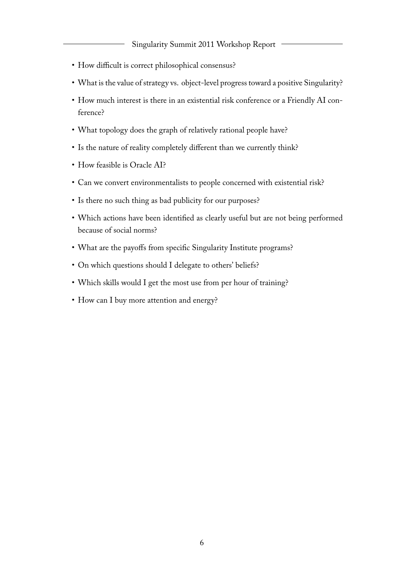- How difficult is correct philosophical consensus?
- What is the value of strategy vs. object-level progress toward a positive Singularity?
- How much interest is there in an existential risk conference or a Friendly AI conference?
- What topology does the graph of relatively rational people have?
- Is the nature of reality completely different than we currently think?
- How feasible is Oracle AI?
- Can we convert environmentalists to people concerned with existential risk?
- Is there no such thing as bad publicity for our purposes?
- Which actions have been identified as clearly useful but are not being performed because of social norms?
- What are the payoffs from specific Singularity Institute programs?
- On which questions should I delegate to others' beliefs?
- Which skills would I get the most use from per hour of training?
- How can I buy more attention and energy?